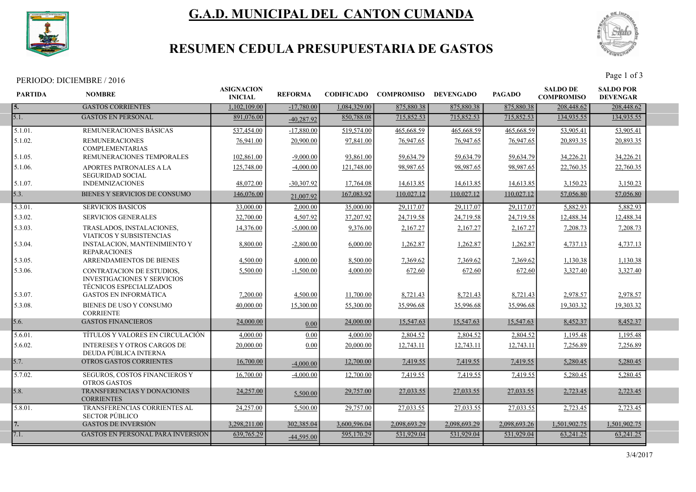

# G.A.D. MUNICIPAL DEL CANTON CUMANDA



## RESUMEN CEDULA PRESUPUESTARIA DE GASTOS

| PERIODO: DICIEMBRE /<br>'2016 | $P_{\text{age}}$<br>of. |
|-------------------------------|-------------------------|
|-------------------------------|-------------------------|

| <b>PARTIDA</b>        | <b>NOMBRE</b>                                                                                     | <b>ASIGNACION</b><br><b>INICIAL</b> | <b>REFORMA</b> | <b>CODIFICADO</b> | <b>COMPROMISO</b> | <b>DEVENGADO</b> | <b>PAGADO</b> | <b>SALDO DE</b><br><b>COMPROMISO</b> | <b>SALDO POR</b><br><b>DEVENGAR</b> |  |
|-----------------------|---------------------------------------------------------------------------------------------------|-------------------------------------|----------------|-------------------|-------------------|------------------|---------------|--------------------------------------|-------------------------------------|--|
| 5.                    | <b>GASTOS CORRIENTES</b>                                                                          | 1.102.109.00                        | $-17,780,00$   | 1.084.329.00      | 875,880.38        | 875,880.38       | 875,880.38    | 208,448.62                           | 208,448.62                          |  |
| 5.1.                  | <b>GASTOS EN PERSONAL</b>                                                                         | 891,076.00                          | $-40.287.92$   | 850,788.08        | 715,852.53        | 715,852.53       | 715,852.53    | 134,935.55                           | 134,935.55                          |  |
| 5.1.01.               | REMUNERACIONES BASICAS                                                                            | 537,454.00                          | $-17,880.00$   | 519,574.00        | 465,668.59        | 465,668.59       | 465,668.59    | 53,905.41                            | 53,905.41                           |  |
| 5.1.02.               | <b>REMUNERACIONES</b><br><b>COMPLEMENTARIAS</b>                                                   | 76,941.00                           | 20,900.00      | 97,841.00         | 76,947.65         | 76,947.65        | 76,947.65     | 20,893.35                            | 20,893.35                           |  |
| 5.1.05.               | REMUNERACIONES TEMPORALES                                                                         | 102,861.00                          | $-9,000.00$    | 93,861.00         | 59,634.79         | 59,634.79        | 59,634.79     | 34,226.21                            | 34,226.21                           |  |
| 5.1.06.               | APORTES PATRONALES A LA<br><b>SEGURIDAD SOCIAL</b>                                                | 125,748.00                          | $-4,000.00$    | 121,748.00        | 98,987.65         | 98,987.65        | 98,987.65     | 22,760.35                            | 22,760.35                           |  |
| 5.1.07.               | <b>INDEMNIZACIONES</b>                                                                            | 48,072.00                           | $-30,307.92$   | 17,764.08         | 14,613.85         | 14,613.85        | 14,613.85     | 3,150.23                             | 3,150.23                            |  |
| 5.3.                  | BIENES Y SERVICIOS DE CONSUMO                                                                     | 146,076.00                          | 21,007.92      | 167,083.92        | 110,027.12        | 110,027.12       | 110,027.12    | 57,056.80                            | 57,056.80                           |  |
| $\overline{5.3.01}$ . | <b>SERVICIOS BASICOS</b>                                                                          | 33,000.00                           | 2,000.00       | 35,000.00         | 29,117.07         | 29,117.07        | 29,117.07     | 5,882.93                             | 5,882.93                            |  |
| 5.3.02.               | <b>SERVICIOS GENERALES</b>                                                                        | 32,700.00                           | 4,507.92       | 37,207.92         | 24,719.58         | 24,719.58        | 24,719.58     | 12,488.34                            | 12,488.34                           |  |
| 5.3.03.               | TRASLADOS, INSTALACIONES,<br>VIATICOS Y SUBSISTENCIAS                                             | 14,376.00                           | $-5,000,00$    | 9,376.00          | 2,167.27          | 2,167.27         | 2,167.27      | 7,208.73                             | 7,208.73                            |  |
| 5.3.04.               | <b>INSTALACION, MANTENIMIENTO Y</b><br><b>REPARACIONES</b>                                        | 8,800.00                            | $-2,800.00$    | 6,000.00          | 1,262.87          | 1,262.87         | 1,262.87      | 4,737.13                             | 4,737.13                            |  |
| 5.3.05.               | <b>ARRENDAMIENTOS DE BIENES</b>                                                                   | 4,500.00                            | 4,000.00       | 8,500.00          | 7,369.62          | 7,369.62         | 7,369.62      | 1,130.38                             | 1,130.38                            |  |
| 5.3.06.               | CONTRATACION DE ESTUDIOS.<br><b>INVESTIGACIONES Y SERVICIOS</b><br><b>TÉCNICOS ESPECIALIZADOS</b> | 5,500.00                            | $-1,500.00$    | 4,000.00          | 672.60            | 672.60           | 672.60        | 3,327.40                             | 3,327.40                            |  |
| 5.3.07.               | <b>GASTOS EN INFORMÁTICA</b>                                                                      | 7,200.00                            | 4,500.00       | 11,700.00         | 8,721.43          | 8,721.43         | 8,721.43      | 2,978.57                             | 2,978.57                            |  |
| 5.3.08.               | BIENES DE USO Y CONSUMO<br><b>CORRIENTE</b>                                                       | 40,000.00                           | 15,300.00      | 55,300.00         | 35,996.68         | 35,996.68        | 35,996.68     | 19,303.32                            | 19,303.32                           |  |
| 5.6.                  | <b>GASTOS FINANCIEROS</b>                                                                         | 24,000.00                           | 0.00           | 24,000.00         | 15,547.63         | 15,547.63        | 15,547.63     | 8,452.37                             | 8,452.37                            |  |
| 5.6.01.               | TÍTULOS Y VALORES EN CIRCULACIÓN                                                                  | 4,000.00                            | 0.00           | 4,000.00          | 2,804.52          | 2,804.52         | 2,804.52      | 1,195.48                             | 1,195.48                            |  |
| 5.6.02.               | <b>INTERESES Y OTROS CARGOS DE</b><br>DEUDA PÚBLICA INTERNA                                       | 20,000.00                           | 0.00           | 20,000.00         | 12,743.11         | 12,743.11        | 12,743.11     | 7,256.89                             | 7,256.89                            |  |
| 5.7.                  | OTROS GASTOS CORRIENTES                                                                           | 16,700.00                           | $-4,000.00$    | 12,700.00         | 7,419.55          | 7,419.55         | 7,419.55      | 5,280.45                             | 5,280.45                            |  |
| 5.7.02.               | SEGUROS, COSTOS FINANCIEROS Y<br><b>OTROS GASTOS</b>                                              | 16,700.00                           | $-4,000.00$    | 12,700.00         | 7,419.55          | 7,419.55         | 7,419.55      | 5,280.45                             | 5,280.45                            |  |
| 5.8.                  | TRANSFERENCIAS Y DONACIONES<br><b>CORRIENTES</b>                                                  | 24,257.00                           | 5,500.00       | 29,757.00         | 27,033.55         | 27,033.55        | 27,033.55     | 2,723.45                             | 2.723.45                            |  |
| 5.8.01.               | TRANSFERENCIAS CORRIENTES AL<br><b>SECTOR PÚBLICO</b>                                             | 24,257.00                           | 5,500.00       | 29,757.00         | 27,033.55         | 27,033.55        | 27,033.55     | 2,723.45                             | 2,723.45                            |  |
| 7.                    | <b>GASTOS DE INVERSIÓN</b>                                                                        | 3,298,211.00                        | 302,385.04     | 3.600.596.04      | 2.098.693.29      | 2.098.693.29     | 2,098,693.26  | 1,501,902.75                         | 1,501,902.75                        |  |
| 7.1.                  | <b>GASTOS EN PERSONAL PARA INVERSIÓN</b>                                                          | 639,765.29                          | $-44,595.00$   | 595,170.29        | 531,929.04        | 531,929.04       | 531,929.04    | 63,241.25                            | 63,241.25                           |  |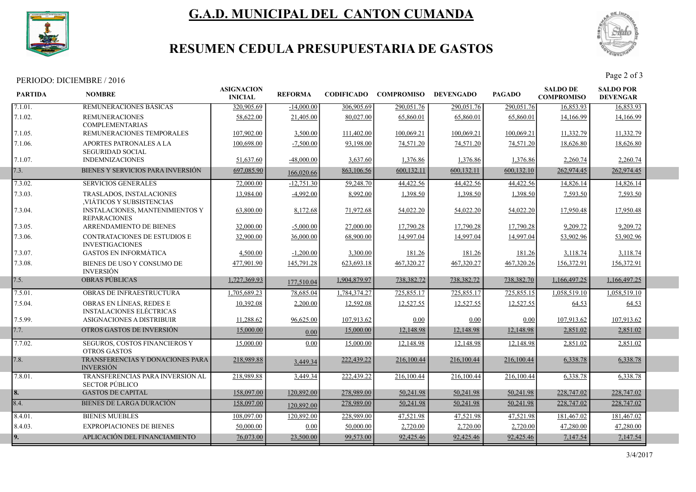

# G.A.D. MUNICIPAL DEL CANTON CUMANDA



## RESUMEN CEDULA PRESUPUESTARIA DE GASTOS

# PERIODO: DICIEMBRE / 2016<br>Page 2 of 3

| <b>PARTIDA</b> | <b>NOMBRE</b>                                                 | <b>ASIGNACION</b><br><b>INICIAL</b> | <b>REFORMA</b> |              | <b>CODIFICADO COMPROMISO</b> | <b>DEVENGADO</b> | <b>PAGADO</b> | <b>SALDO DE</b><br><b>COMPROMISO</b> | <b>SALDO POR</b><br><b>DEVENGAR</b> |  |
|----------------|---------------------------------------------------------------|-------------------------------------|----------------|--------------|------------------------------|------------------|---------------|--------------------------------------|-------------------------------------|--|
| 7.1.01.        | REMUNERACIONES BASICAS                                        | 320,905.69                          | $-14,000.00$   | 306,905.69   | 290,051.76                   | 290,051.76       | 290,051.76    | 16,853.93                            | 16,853.93                           |  |
| 7.1.02.        | <b>REMUNERACIONES</b><br><b>COMPLEMENTARIAS</b>               | 58,622.00                           | 21,405.00      | 80,027.00    | 65,860.01                    | 65,860.01        | 65,860.01     | 14,166.99                            | 14,166.99                           |  |
| 7.1.05.        | REMUNERACIONES TEMPORALES                                     | 107,902.00                          | 3,500.00       | 111,402.00   | 100,069.21                   | 100,069.21       | 100,069.21    | 11,332.79                            | 11,332.79                           |  |
| 7.1.06.        | APORTES PATRONALES A LA<br><b>SEGURIDAD SOCIAL</b>            | 100,698.00                          | $-7,500.00$    | 93,198.00    | 74,571.20                    | 74,571.20        | 74,571.20     | 18,626.80                            | 18,626.80                           |  |
| 7.1.07.        | <b>INDEMNIZACIONES</b>                                        | 51,637.60                           | $-48,000.00$   | 3,637.60     | 1,376.86                     | 1,376.86         | 1,376.86      | 2,260.74                             | 2,260.74                            |  |
| 7.3.           | BIENES Y SERVICIOS PARA INVERSIÓN                             | 697,085.90                          | 166,020.66     | 863,106.56   | 600,132.11                   | 600,132.11       | 600,132.10    | 262,974.45                           | 262,974.45                          |  |
| 7.3.02.        | <b>SERVICIOS GENERALES</b>                                    | 72,000.00                           | $-12,751.30$   | 59,248.70    | 44,422.56                    | 44,422.56        | 44,422.56     | 14,826.14                            | 14,826.14                           |  |
| 7.3.03.        | TRASLADOS, INSTALACIONES<br>VIÁTICOS Y SUBSISTENCIAS          | 13,984.00                           | $-4,992.00$    | 8,992.00     | 1,398.50                     | 1,398.50         | 1,398.50      | 7,593.50                             | 7,593.50                            |  |
| 7.3.04.        | <b>INSTALACIONES, MANTENIMIENTOS Y</b><br><b>REPARACIONES</b> | 63,800.00                           | 8,172.68       | 71,972.68    | 54,022.20                    | 54,022.20        | 54,022.20     | 17,950.48                            | 17,950.48                           |  |
| 7.3.05.        | ARRENDAMIENTO DE BIENES                                       | 32,000.00                           | $-5,000.00$    | 27,000.00    | 17,790.28                    | 17,790.28        | 17,790.28     | 9,209.72                             | 9,209.72                            |  |
| 7.3.06.        | <b>CONTRATACIONES DE ESTUDIOS E</b><br><b>INVESTIGACIONES</b> | 32,900.00                           | 36,000.00      | 68,900.00    | 14,997.04                    | 14,997.04        | 14,997.04     | 53,902.96                            | 53,902.96                           |  |
| 7.3.07.        | <b>GASTOS EN INFORMÁTICA</b>                                  | 4,500.00                            | $-1,200.00$    | 3,300.00     | 181.26                       | 181.26           | 181.26        | 3,118.74                             | 3,118.74                            |  |
| 7.3.08.        | BIENES DE USO Y CONSUMO DE<br><b>INVERSIÓN</b>                | 477,901.90                          | 145,791.28     | 623,693.18   | 467,320.27                   | 467,320.27       | 467,320.26    | 156,372.91                           | 156,372.91                          |  |
| 7.5.           | <b>OBRAS PÚBLICAS</b>                                         | 1,727,369.93                        | 177,510.04     | 1,904,879.97 | 738,382.72                   | 738,382.72       | 738,382.70    | 1,166,497.25                         | 1,166,497.25                        |  |
| 7.5.01.        | OBRAS DE INFRAESTRUCTURA                                      | 1,705,689.23                        | 78,685.04      | 1,784,374.27 | 725,855.17                   | 725,855.17       | 725,855.15    | 1,058,519.10                         | 1,058,519.10                        |  |
| 7.5.04.        | OBRAS EN LÍNEAS, REDES E<br><b>INSTALACIONES ELÉCTRICAS</b>   | 10.392.08                           | 2,200.00       | 12,592.08    | 12,527.55                    | 12,527.55        | 12,527.55     | 64.53                                | 64.53                               |  |
| 7.5.99.        | ASIGNACIONES A DISTRIBUIR                                     | 11,288.62                           | 96,625.00      | 107,913.62   | 0.00                         | 0.00             | 0.00          | 107,913.62                           | 107,913.62                          |  |
| 7.7.           | OTROS GASTOS DE INVERSIÓN                                     | 15,000.00                           | 0.00           | 15,000.00    | 12,148.98                    | 12,148.98        | 12,148.98     | 2,851.02                             | 2,851.02                            |  |
| 7.7.02.        | SEGUROS, COSTOS FINANCIEROS Y<br><b>OTROS GASTOS</b>          | 15,000.00                           | 0.00           | 15,000.00    | 12,148.98                    | 12,148.98        | 12,148.98     | 2,851.02                             | 2,851.02                            |  |
| 7.8.           | TRANSFERENCIAS Y DONACIONES PARA<br><b>INVERSIÓN</b>          | 218,989.88                          | 3,449.34       | 222,439.22   | 216,100.44                   | 216,100.44       | 216,100.44    | 6,338.78                             | 6,338.78                            |  |
| 7.8.01.        | TRANSFERENCIAS PARA INVERSION AL<br><b>SECTOR PÚBLICO</b>     | 218,989.88                          | 3,449.34       | 222,439.22   | 216,100.44                   | 216,100.44       | 216,100.44    | 6,338.78                             | 6,338.78                            |  |
| 8.             | <b>GASTOS DE CAPITAL</b>                                      | 158,097.00                          | 120,892.00     | 278,989.00   | 50,241.98                    | 50,241.98        | 50,241.98     | 228,747.02                           | 228,747.02                          |  |
| 8.4.           | <b>BIENES DE LARGA DURACIÓN</b>                               | 158,097.00                          | 120,892.00     | 278,989.00   | 50,241.98                    | 50,241.98        | 50,241.98     | 228,747.02                           | 228,747.02                          |  |
| 8.4.01.        | <b>BIENES MUEBLES</b>                                         | 108,097.00                          | 120,892.00     | 228,989.00   | 47,521.98                    | 47,521.98        | 47,521.98     | 181,467.02                           | 181,467.02                          |  |
| 8.4.03.        | <b>EXPROPIACIONES DE BIENES</b>                               | 50,000.00                           | 0.00           | 50,000.00    | 2,720.00                     | 2,720.00         | 2,720.00      | 47,280.00                            | 47,280.00                           |  |
| 9.             | APLICACIÓN DEL FINANCIAMIENTO                                 | 76,073.00                           | 23,500.00      | 99,573.00    | 92,425.46                    | 92,425.46        | 92,425.46     | 7,147.54                             | 7,147.54                            |  |